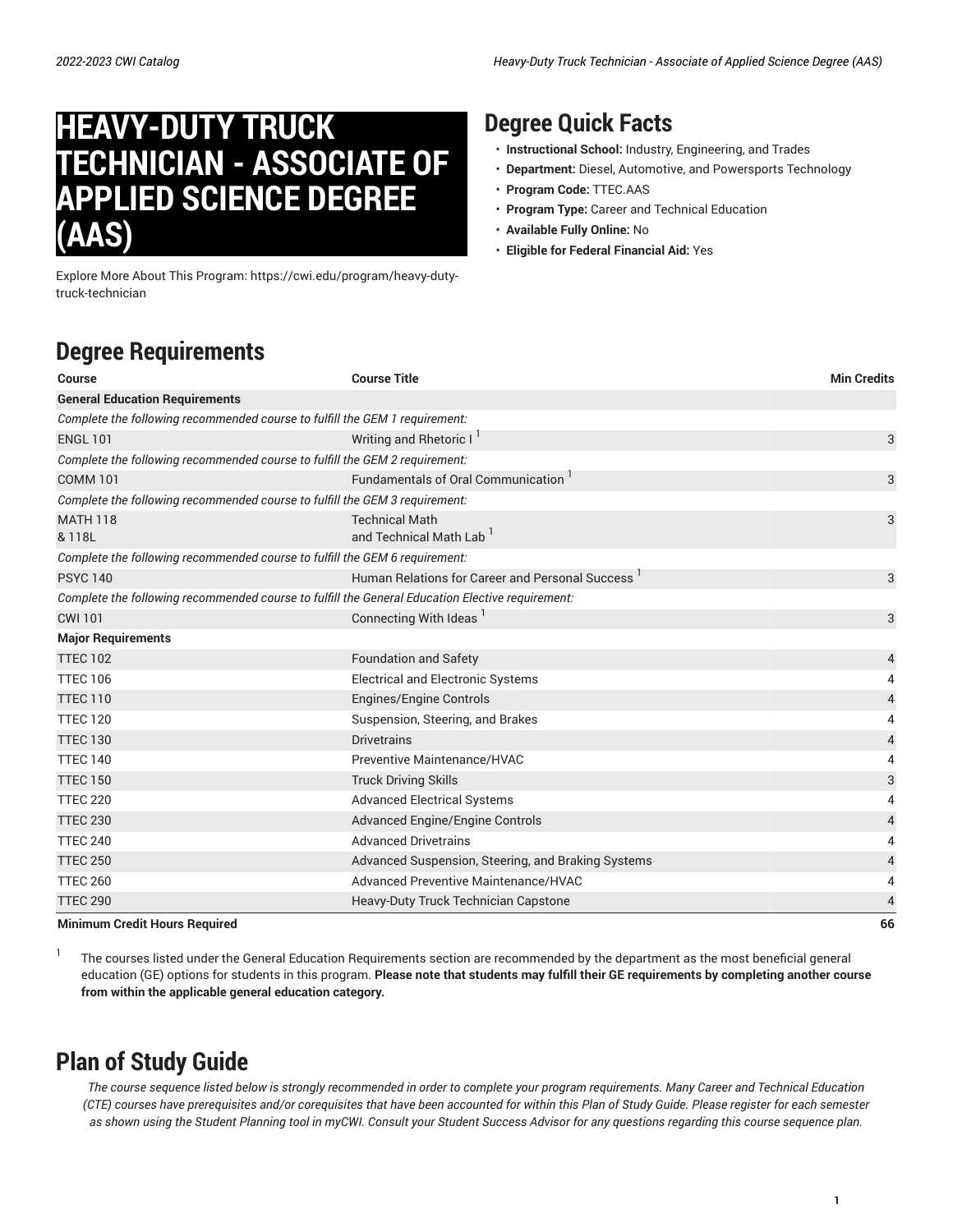# **HEAVY-DUTY TRUCK TECHNICIAN - ASSOCIATE OF APPLIED SCIENCE DEGREE (AAS)**

Explore More About This Program: https://cwi.edu/program/heavy-dutytruck-technician

### **Degree Quick Facts**

- **Instructional School:** Industry, Engineering, and Trades
- **Department:** Diesel, Automotive, and Powersports Technology
- **Program Code:** TTEC.AAS
- **Program Type:** Career and Technical Education
- **Available Fully Online:** No
- **Eligible for Federal Financial Aid:** Yes

# **Degree Requirements**

| <b>Course</b>                                                               | <b>Course Title</b>                                                                              | <b>Min Credits</b> |
|-----------------------------------------------------------------------------|--------------------------------------------------------------------------------------------------|--------------------|
| <b>General Education Requirements</b>                                       |                                                                                                  |                    |
| Complete the following recommended course to fulfill the GEM 1 requirement: |                                                                                                  |                    |
| <b>ENGL 101</b>                                                             | Writing and Rhetoric I                                                                           | 3                  |
| Complete the following recommended course to fulfill the GEM 2 requirement: |                                                                                                  |                    |
| <b>COMM 101</b>                                                             | Fundamentals of Oral Communication                                                               | 3                  |
| Complete the following recommended course to fulfill the GEM 3 requirement: |                                                                                                  |                    |
| <b>MATH 118</b>                                                             | <b>Technical Math</b>                                                                            | 3                  |
| & 118L                                                                      | and Technical Math Lab                                                                           |                    |
| Complete the following recommended course to fulfill the GEM 6 requirement: |                                                                                                  |                    |
| <b>PSYC 140</b>                                                             | Human Relations for Career and Personal Success <sup>1</sup>                                     | 3                  |
|                                                                             | Complete the following recommended course to fulfill the General Education Elective requirement: |                    |
| <b>CWI 101</b>                                                              | Connecting With Ideas                                                                            | 3                  |
| <b>Major Requirements</b>                                                   |                                                                                                  |                    |
| <b>TTEC 102</b>                                                             | <b>Foundation and Safety</b>                                                                     | 4                  |
| <b>TTEC 106</b>                                                             | <b>Electrical and Electronic Systems</b>                                                         | 4                  |
| <b>TTEC 110</b>                                                             | <b>Engines/Engine Controls</b>                                                                   | $\overline{4}$     |
| <b>TTEC 120</b>                                                             | Suspension, Steering, and Brakes                                                                 | 4                  |
| <b>TTEC 130</b>                                                             | <b>Drivetrains</b>                                                                               | $\overline{a}$     |
| <b>TTEC 140</b>                                                             | Preventive Maintenance/HVAC                                                                      | 4                  |
| <b>TTEC 150</b>                                                             | <b>Truck Driving Skills</b>                                                                      | 3                  |
| <b>TTEC 220</b>                                                             | <b>Advanced Electrical Systems</b>                                                               | 4                  |
| <b>TTEC 230</b>                                                             | <b>Advanced Engine/Engine Controls</b>                                                           | 4                  |
| <b>TTEC 240</b>                                                             | <b>Advanced Drivetrains</b>                                                                      | 4                  |
| <b>TTEC 250</b>                                                             | Advanced Suspension, Steering, and Braking Systems                                               | 4                  |
| <b>TTEC 260</b>                                                             | Advanced Preventive Maintenance/HVAC                                                             | 4                  |
| <b>TTEC 290</b>                                                             | <b>Heavy-Duty Truck Technician Capstone</b>                                                      | 4                  |
| Minimum Cradit Houre Required                                               |                                                                                                  | 66                 |

**Minimum Credit Hours Required 66**

1 The courses listed under the General Education Requirements section are recommended by the department as the most beneficial general education (GE) options for students in this program. Please note that students may fulfill their GE requirements by completing another course **from within the applicable general education category.**

## **Plan of Study Guide**

The course sequence listed below is strongly recommended in order to complete your program requirements. Many Career and Technical Education (CTE) courses have prerequisites and/or corequisites that have been accounted for within this Plan of Study Guide. Please register for each semester as shown using the Student Planning tool in myCWI. Consult your Student Success Advisor for any questions regarding this course sequence plan.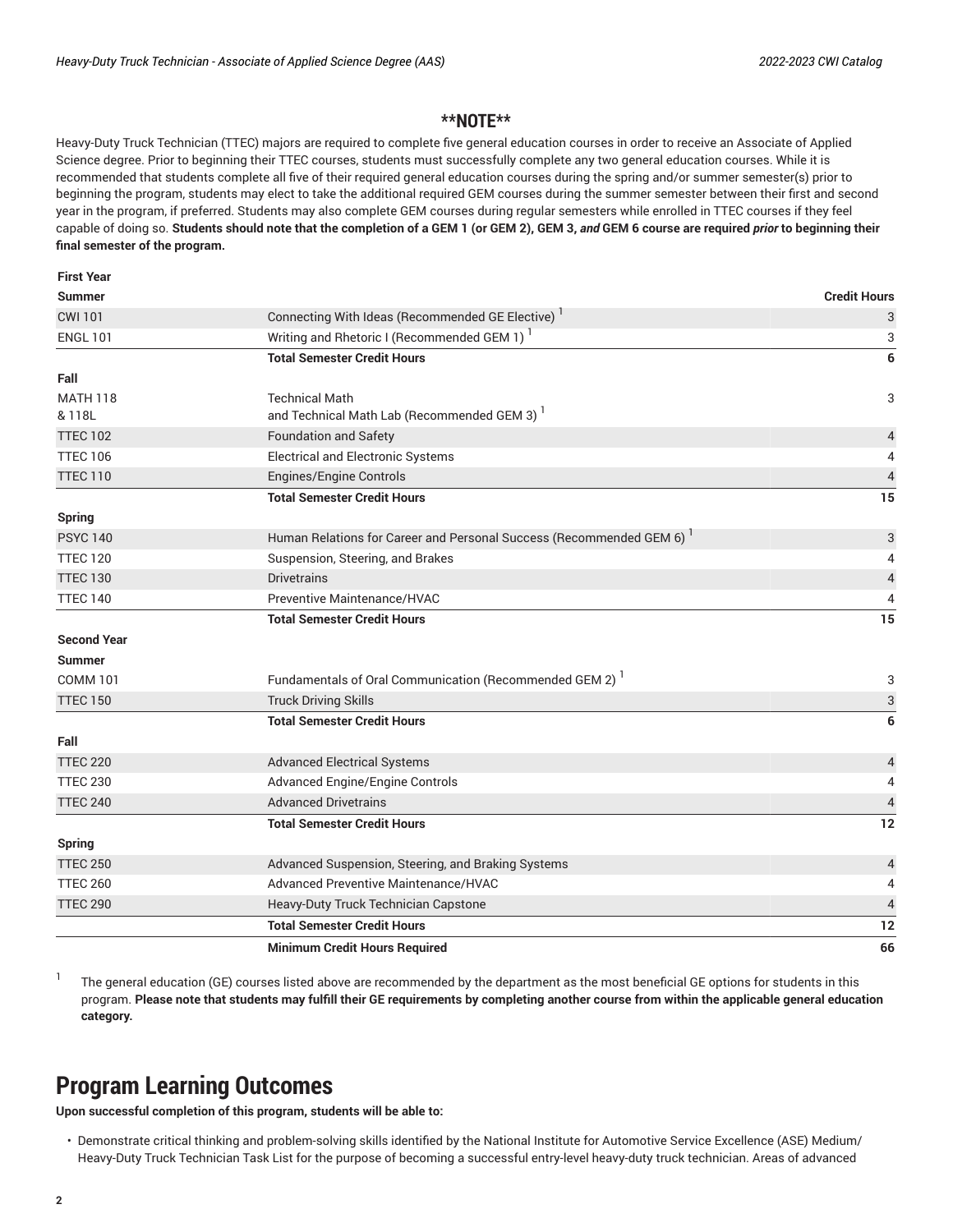**First Year**

#### **\*\*NOTE\*\***

Heavy-Duty Truck Technician (TTEC) majors are required to complete five general education courses in order to receive an Associate of Applied Science degree. Prior to beginning their TTEC courses, students must successfully complete any two general education courses. While it is recommended that students complete all five of their required general education courses during the spring and/or summer semester(s) prior to beginning the program, students may elect to take the additional required GEM courses during the summer semester between their first and second year in the program, if preferred. Students may also complete GEM courses during regular semesters while enrolled in TTEC courses if they feel capable of doing so. **Students should note that the completion of a GEM 1 (or GEM 2), GEM 3,** *and* **GEM 6 course are required** *prior* **to beginning their final semester of the program.**

|                                    | <b>Minimum Credit Hours Required</b>                                                                                    | 66                                         |
|------------------------------------|-------------------------------------------------------------------------------------------------------------------------|--------------------------------------------|
|                                    | <b>Total Semester Credit Hours</b>                                                                                      | 12                                         |
| <b>TTEC 290</b>                    | Heavy-Duty Truck Technician Capstone                                                                                    | $\overline{4}$                             |
| <b>TTEC 260</b>                    | <b>Advanced Preventive Maintenance/HVAC</b>                                                                             | 4                                          |
| <b>TTEC 250</b>                    | Advanced Suspension, Steering, and Braking Systems                                                                      | $\overline{a}$                             |
| <b>Spring</b>                      | <b>Total Semester Credit Hours</b>                                                                                      | 12                                         |
| <b>TTEC 240</b>                    | <b>Advanced Drivetrains</b>                                                                                             | $\sqrt{4}$                                 |
| <b>TTEC 230</b>                    | <b>Advanced Engine/Engine Controls</b>                                                                                  | 4                                          |
| <b>TTEC 220</b>                    | <b>Advanced Electrical Systems</b>                                                                                      | $\overline{4}$                             |
| Fall                               |                                                                                                                         |                                            |
|                                    | <b>Total Semester Credit Hours</b>                                                                                      | 6                                          |
| <b>TTEC 150</b>                    | <b>Truck Driving Skills</b>                                                                                             | 3                                          |
| <b>COMM 101</b>                    | Fundamentals of Oral Communication (Recommended GEM 2) <sup>1</sup>                                                     | 3                                          |
| <b>Summer</b>                      |                                                                                                                         |                                            |
| <b>Second Year</b>                 |                                                                                                                         |                                            |
|                                    | <b>Total Semester Credit Hours</b>                                                                                      | 15                                         |
| <b>TTEC 140</b>                    | Preventive Maintenance/HVAC                                                                                             | 4                                          |
| <b>TTEC 120</b><br><b>TTEC 130</b> | Suspension, Steering, and Brakes<br><b>Drivetrains</b>                                                                  | $\overline{4}$<br>$\overline{\mathcal{L}}$ |
| <b>PSYC 140</b>                    | Human Relations for Career and Personal Success (Recommended GEM 6)                                                     | 3                                          |
| <b>Spring</b>                      |                                                                                                                         |                                            |
|                                    | <b>Total Semester Credit Hours</b>                                                                                      | 15                                         |
| <b>TTEC 110</b>                    | Engines/Engine Controls                                                                                                 | $\overline{4}$                             |
| <b>TTEC 106</b>                    | <b>Electrical and Electronic Systems</b>                                                                                | 4                                          |
| <b>TTEC 102</b>                    | <b>Foundation and Safety</b>                                                                                            | 4                                          |
| & 118L                             | and Technical Math Lab (Recommended GEM 3)                                                                              |                                            |
| <b>MATH 118</b>                    | <b>Technical Math</b>                                                                                                   | 3                                          |
| Fall                               |                                                                                                                         |                                            |
|                                    | <b>Total Semester Credit Hours</b>                                                                                      | 3<br>6                                     |
| <b>ENGL 101</b>                    | Connecting With Ideas (Recommended GE Elective) <sup>1</sup><br>Writing and Rhetoric I (Recommended GEM 1) <sup>1</sup> | 3                                          |
| <b>Summer</b><br><b>CWI 101</b>    |                                                                                                                         | <b>Credit Hours</b>                        |
| rıist real                         |                                                                                                                         |                                            |

1 The general education (GE) courses listed above are recommended by the department as the most beneficial GE options for students in this program. Please note that students may fulfill their GE requirements by completing another course from within the applicable general education **category.**

#### **Program Learning Outcomes**

**Upon successful completion of this program, students will be able to:**

• Demonstrate critical thinking and problem-solving skills identified by the National Institute for Automotive Service Excellence (ASE) Medium/ Heavy-Duty Truck Technician Task List for the purpose of becoming a successful entry-level heavy-duty truck technician. Areas of advanced